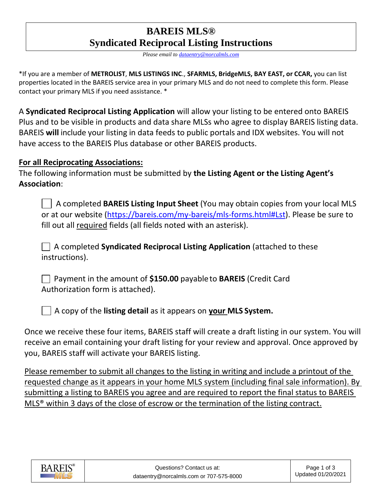## **BAREIS MLS® Syndicated Reciprocal Listing Instructions**

*Please email to [dataentry@norcalmls.com](mailto:dataentry@norcalmls.com)*

\*If you are a member of **METROLIST**, **MLS LISTINGS INC**., **SFARMLS, BridgeMLS, BAY EAST, or CCAR,** you can list properties located in the BAREIS service area in your primary MLS and do not need to complete this form. Please contact your primary MLS if you need assistance. \*

A **Syndicated Reciprocal Listing Application** will allow your listing to be entered onto BAREIS Plus and to be visible in products and data share MLSs who agree to display BAREIS listing data. BAREIS **will** include your listing in data feeds to public portals and IDX websites. You will not have access to the BAREIS Plus database or other BAREIS products.

### **For all Reciprocating Associations:**

The following information must be submitted by **the Listing Agent or the Listing Agent's Association**:

 A completed **BAREIS Listing Input Sheet** (You may obtain copies from your local MLS or at our website [\(https://bareis.com/my-bareis/mls-forms.html#Lst\)](https://bareis.com/my-bareis/mls-forms.html#Lst). Please be sure to fill out all required fields (all fields noted with an asterisk).

 A completed **Syndicated Reciprocal Listing Application** (attached to these instructions).

 Payment in the amount of **\$150.00** payableto **BAREIS** (Credit Card Authorization form is attached).

A copy of the **listing detail** as it appears on **your MLS System.**

Once we receive these four items, BAREIS staff will create a draft listing in our system. You will receive an email containing your draft listing for your review and approval. Once approved by you, BAREIS staff will activate your BAREIS listing.

Please remember to submit all changes to the listing in writing and include a printout of the requested change as it appears in your home MLS system (including final sale information). By submitting a listing to BAREIS you agree and are required to report the final status to BAREIS MLS® within 3 days of the close of escrow or the termination of the listing contract.

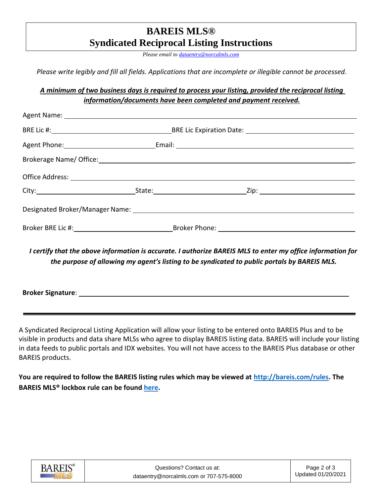## **BAREIS MLS® Syndicated Reciprocal Listing Instructions**

*Please email to [dataentry@norcalmls.com](mailto:dataentry@norcalmls.com)*

*Please write legibly and fill all fields. Applications that are incomplete or illegible cannot be processed.*

#### *A minimum of two business days is required to process your listing, provided the reciprocal listing information/documents have been completed and payment received.*

| Agent Name: 1988 and 2008 and 2008 and 2008 and 2008 and 2008 and 2008 and 2008 and 2008 and 2008 and 2008 and 2008 and 2008 and 2008 and 2008 and 2008 and 2008 and 2008 and 2008 and 2008 and 2008 and 2008 and 2008 and 200 |  |
|--------------------------------------------------------------------------------------------------------------------------------------------------------------------------------------------------------------------------------|--|
|                                                                                                                                                                                                                                |  |
|                                                                                                                                                                                                                                |  |
| Brokerage Name/ Office: 2008 2012 2022 2023 2024 2022 2023 2024 2022 2023 2024 2022 2023 2024 2022 2023 2024 20                                                                                                                |  |
|                                                                                                                                                                                                                                |  |
|                                                                                                                                                                                                                                |  |
|                                                                                                                                                                                                                                |  |
|                                                                                                                                                                                                                                |  |
|                                                                                                                                                                                                                                |  |

*I certify that the above information is accurate. I authorize BAREIS MLS to enter my office information for the purpose of allowing my agent's listing to be syndicated to public portals by BAREIS MLS.*

**Broker Signature**:

A Syndicated Reciprocal Listing Application will allow your listing to be entered onto BAREIS Plus and to be visible in products and data share MLSs who agree to display BAREIS listing data. BAREIS will include your listing in data feeds to public portals and IDX websites. You will not have access to the BAREIS Plus database or other BAREIS products.

**You are required to follow the BAREIS listing rules which may be viewed at [http://bareis.com/rules.](http://bareis.com/rules) The BAREIS MLS® lockbox rule can be found [here.](https://www.bareis.com/root-documents/forms/1921-bareis-electronic-lockbox-and-lockbox-key-rules/file.html)**